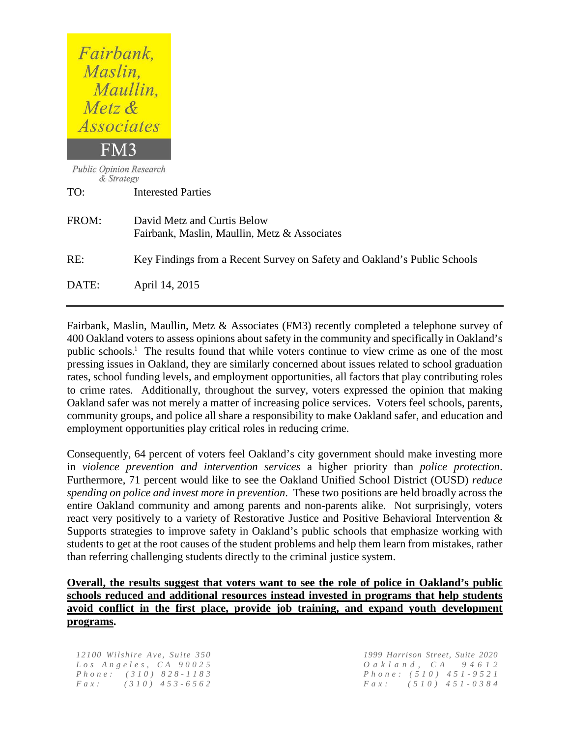| Fairbank,                                    |                                                                             |  |  |
|----------------------------------------------|-----------------------------------------------------------------------------|--|--|
| Maslin,                                      |                                                                             |  |  |
| Maullin,                                     |                                                                             |  |  |
| Metz &                                       |                                                                             |  |  |
| <i>Associates</i>                            |                                                                             |  |  |
| FM3                                          |                                                                             |  |  |
| <b>Public Opinion Research</b><br>& Strategy |                                                                             |  |  |
| TO:                                          | <b>Interested Parties</b>                                                   |  |  |
| FROM:                                        | David Metz and Curtis Below<br>Fairbank, Maslin, Maullin, Metz & Associates |  |  |
| RE:                                          | Key Findings from a Recent Survey on Safety and Oakland's Public Schools    |  |  |
| DATE:                                        | April 14, 2015                                                              |  |  |

Fairbank, Maslin, Maullin, Metz & Associates (FM3) recently completed a telephone survey of 400 Oakland voters to assess opinions about safety in the community and specifically in Oakland's public schools.<sup>i</sup> The results found that while voters continue to view crime as one of the most pressing issues in Oakland, they are similarly concerned about issues related to school graduation rates, school funding levels, and employment opportunities, all factors that play contributing roles to crime rates. Additionally, throughout the survey, voters expressed the opinion that making Oakland safer was not merely a matter of increasing police services. Voters feel schools, parents, community groups, and police all share a responsibility to make Oakland safer, and education and employment opportunities play critical roles in reducing crime.

Consequently, 64 percent of voters feel Oakland's city government should make investing more in *violence prevention and intervention services* a higher priority than *police protection*. Furthermore, 71 percent would like to see the Oakland Unified School District (OUSD) *reduce spending on police and invest more in prevention*. These two positions are held broadly across the entire Oakland community and among parents and non-parents alike. Not surprisingly, voters react very positively to a variety of Restorative Justice and Positive Behavioral Intervention & Supports strategies to improve safety in Oakland's public schools that emphasize working with students to get at the root causes of the student problems and help them learn from mistakes, rather than referring challenging students directly to the criminal justice system.

## **Overall, the results suggest that voters want to see the role of police in Oakland's public schools reduced and additional resources instead invested in programs that help students avoid conflict in the first place, provide job training, and expand youth development programs.**

*1 2 1 00 Wilsh ire Ave, S u ite 3 5 0 L o s A n g e l e s , C A 9 0 0 2 5 P h o n e : ( 3 1 0 ) 8 2 8 - 1 1 8 3 F a x : ( 3 1 0 ) 4 5 3 - 6 5 6 2*

*1999 Harrison Street, Suite 2020 O a k l a n d , C A 9 4 6 1 2 P h o n e : ( 5 1 0 ) 4 5 1 - 9 5 2 1 F a x : ( 5 1 0 ) 4 5 1 - 0 3 8 4*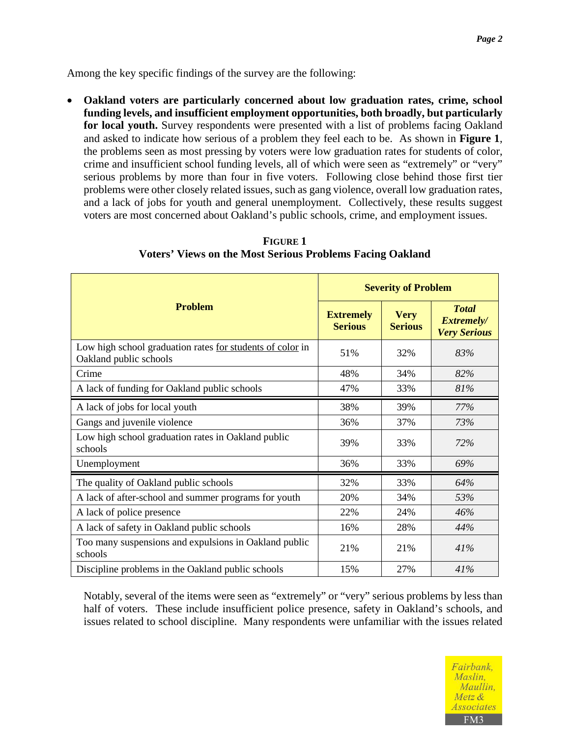Among the key specific findings of the survey are the following:

 **Oakland voters are particularly concerned about low graduation rates, crime, school funding levels, and insufficient employment opportunities, both broadly, but particularly for local youth.** Survey respondents were presented with a list of problems facing Oakland and asked to indicate how serious of a problem they feel each to be. As shown in **Figure 1**, the problems seen as most pressing by voters were low graduation rates for students of color, crime and insufficient school funding levels, all of which were seen as "extremely" or "very" serious problems by more than four in five voters. Following close behind those first tier problems were other closely related issues, such as gang violence, overall low graduation rates, and a lack of jobs for youth and general unemployment. Collectively, these results suggest voters are most concerned about Oakland's public schools, crime, and employment issues.

|                                                                                     | <b>Severity of Problem</b>         |                               |                                                          |  |
|-------------------------------------------------------------------------------------|------------------------------------|-------------------------------|----------------------------------------------------------|--|
| <b>Problem</b>                                                                      | <b>Extremely</b><br><b>Serious</b> | <b>Very</b><br><b>Serious</b> | <b>Total</b><br><b>Extremely/</b><br><b>Very Serious</b> |  |
| Low high school graduation rates for students of color in<br>Oakland public schools | 51%                                | 32%                           | 83%                                                      |  |
| Crime                                                                               | 48%                                | 34%                           | 82%                                                      |  |
| A lack of funding for Oakland public schools                                        | 47%                                | 33%                           | 81%                                                      |  |
| A lack of jobs for local youth                                                      | 38%                                | 39%                           | 77%                                                      |  |
| Gangs and juvenile violence                                                         | 36%                                | 37%                           | 73%                                                      |  |
| Low high school graduation rates in Oakland public<br>schools                       | 39%                                | 33%                           | 72%                                                      |  |
| Unemployment                                                                        | 36%                                | 33%                           | 69%                                                      |  |
| The quality of Oakland public schools                                               | 32%                                | 33%                           | 64%                                                      |  |
| A lack of after-school and summer programs for youth                                | 20%                                | 34%                           | 53%                                                      |  |
| A lack of police presence                                                           | 22%                                | 24%                           | 46%                                                      |  |
| A lack of safety in Oakland public schools                                          | 16%                                | 28%                           | 44%                                                      |  |
| Too many suspensions and expulsions in Oakland public<br>schools                    | 21%                                | 21%                           | 41%                                                      |  |
| Discipline problems in the Oakland public schools                                   | 15%                                | 27%                           | 41%                                                      |  |

**FIGURE 1 Voters' Views on the Most Serious Problems Facing Oakland**

Notably, several of the items were seen as "extremely" or "very" serious problems by less than half of voters. These include insufficient police presence, safety in Oakland's schools, and issues related to school discipline. Many respondents were unfamiliar with the issues related

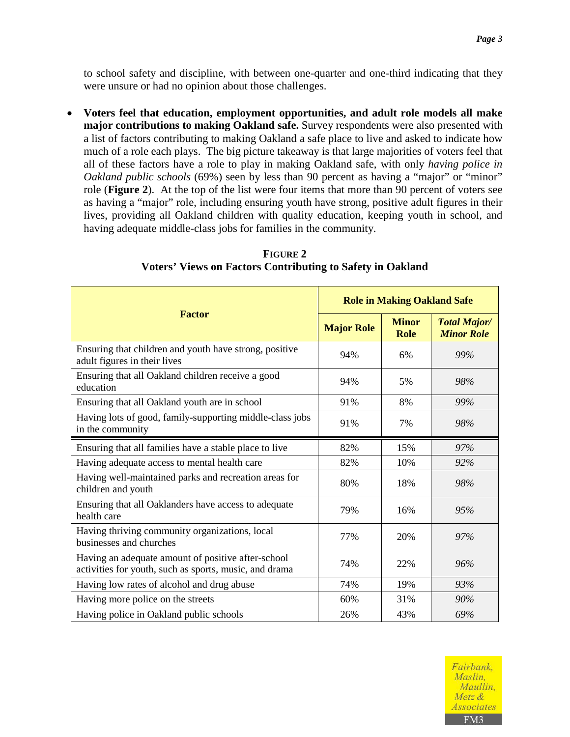to school safety and discipline, with between one-quarter and one-third indicating that they were unsure or had no opinion about those challenges.

 **Voters feel that education, employment opportunities, and adult role models all make major contributions to making Oakland safe.** Survey respondents were also presented with a list of factors contributing to making Oakland a safe place to live and asked to indicate how much of a role each plays. The big picture takeaway is that large majorities of voters feel that all of these factors have a role to play in making Oakland safe, with only *having police in Oakland public schools* (69%) seen by less than 90 percent as having a "major" or "minor" role (**Figure 2**). At the top of the list were four items that more than 90 percent of voters see as having a "major" role, including ensuring youth have strong, positive adult figures in their lives, providing all Oakland children with quality education, keeping youth in school, and having adequate middle-class jobs for families in the community.

|                                                                                                              | <b>Role in Making Oakland Safe</b> |                      |                                          |
|--------------------------------------------------------------------------------------------------------------|------------------------------------|----------------------|------------------------------------------|
| <b>Factor</b>                                                                                                | <b>Major Role</b>                  | <b>Minor</b><br>Role | <b>Total Major/</b><br><b>Minor Role</b> |
| Ensuring that children and youth have strong, positive<br>adult figures in their lives                       | 94%                                | 6%                   | 99%                                      |
| Ensuring that all Oakland children receive a good<br>education                                               | 94%                                | 5%                   | 98%                                      |
| Ensuring that all Oakland youth are in school                                                                | 91%                                | 8%                   | 99%                                      |
| Having lots of good, family-supporting middle-class jobs<br>in the community                                 | 91%                                | 7%                   | 98%                                      |
| Ensuring that all families have a stable place to live                                                       | 82%                                | 15%                  | 97%                                      |
| Having adequate access to mental health care                                                                 | 82%                                | 10%                  | 92%                                      |
| Having well-maintained parks and recreation areas for<br>children and youth                                  | 80%                                | 18%                  | 98%                                      |
| Ensuring that all Oaklanders have access to adequate<br>health care                                          | 79%                                | 16%                  | 95%                                      |
| Having thriving community organizations, local<br>businesses and churches                                    | 77%                                | 20%                  | 97%                                      |
| Having an adequate amount of positive after-school<br>activities for youth, such as sports, music, and drama | 74%                                | 22%                  | 96%                                      |
| Having low rates of alcohol and drug abuse                                                                   | 74%                                | 19%                  | 93%                                      |
| Having more police on the streets                                                                            | 60%                                | 31%                  | 90%                                      |
| Having police in Oakland public schools                                                                      | 26%                                | 43%                  | 69%                                      |

**FIGURE 2 Voters' Views on Factors Contributing to Safety in Oakland**

Fairbank. Maslin, Maullin, Metz & *Associates* FM3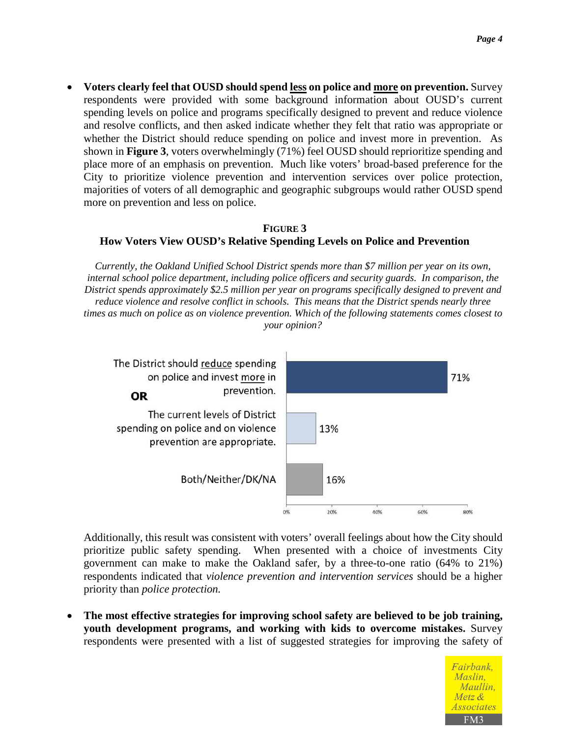**Voters clearly feel that OUSD should spend less on police and more on prevention.** Survey respondents were provided with some background information about OUSD's current spending levels on police and programs specifically designed to prevent and reduce violence and resolve conflicts, and then asked indicate whether they felt that ratio was appropriate or whether the District should reduce spending on police and invest more in prevention. As shown in **Figure 3**, voters overwhelmingly (71%) feel OUSD should reprioritize spending and place more of an emphasis on prevention. Much like voters' broad-based preference for the City to prioritize violence prevention and intervention services over police protection, majorities of voters of all demographic and geographic subgroups would rather OUSD spend more on prevention and less on police.

## **FIGURE 3 How Voters View OUSD's Relative Spending Levels on Police and Prevention**

*Currently, the Oakland Unified School District spends more than \$7 million per year on its own, internal school police department, including police officers and security guards. In comparison, the District spends approximately \$2.5 million per year on programs specifically designed to prevent and reduce violence and resolve conflict in schools. This means that the District spends nearly three times as much on police as on violence prevention. Which of the following statements comes closest to your opinion?*



Additionally, this result was consistent with voters' overall feelings about how the City should prioritize public safety spending. When presented with a choice of investments City government can make to make the Oakland safer, by a three-to-one ratio (64% to 21%) respondents indicated that *violence prevention and intervention services* should be a higher priority than *police protection.*

 **The most effective strategies for improving school safety are believed to be job training, youth development programs, and working with kids to overcome mistakes.** Survey respondents were presented with a list of suggested strategies for improving the safety of

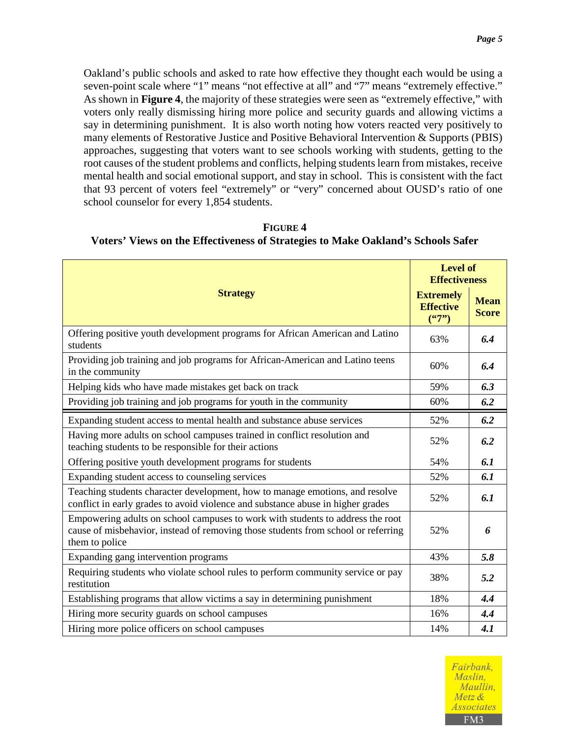Oakland's public schools and asked to rate how effective they thought each would be using a seven-point scale where "1" means "not effective at all" and "7" means "extremely effective." As shown in **Figure 4**, the majority of these strategies were seen as "extremely effective," with voters only really dismissing hiring more police and security guards and allowing victims a say in determining punishment. It is also worth noting how voters reacted very positively to many elements of Restorative Justice and Positive Behavioral Intervention & Supports (PBIS) approaches, suggesting that voters want to see schools working with students, getting to the root causes of the student problems and conflicts, helping students learn from mistakes, receive mental health and social emotional support, and stay in school. This is consistent with the fact that 93 percent of voters feel "extremely" or "very" concerned about OUSD's ratio of one school counselor for every 1,854 students.

|                                                                                                                                                                                       |                                               | <b>Level of</b><br><b>Effectiveness</b> |  |  |
|---------------------------------------------------------------------------------------------------------------------------------------------------------------------------------------|-----------------------------------------------|-----------------------------------------|--|--|
| <b>Strategy</b>                                                                                                                                                                       | <b>Extremely</b><br><b>Effective</b><br>(57") | <b>Mean</b><br><b>Score</b>             |  |  |
| Offering positive youth development programs for African American and Latino<br>students                                                                                              | 63%                                           | 6.4                                     |  |  |
| Providing job training and job programs for African-American and Latino teens<br>in the community                                                                                     | 60%                                           | 6.4                                     |  |  |
| Helping kids who have made mistakes get back on track                                                                                                                                 | 59%                                           | 6.3                                     |  |  |
| Providing job training and job programs for youth in the community                                                                                                                    | 60%                                           | 6.2                                     |  |  |
| Expanding student access to mental health and substance abuse services                                                                                                                | 52%                                           | 6.2                                     |  |  |
| Having more adults on school campuses trained in conflict resolution and<br>teaching students to be responsible for their actions                                                     | 52%                                           | 6.2                                     |  |  |
| Offering positive youth development programs for students                                                                                                                             | 54%                                           | 6.1                                     |  |  |
| Expanding student access to counseling services                                                                                                                                       | 52%                                           | 6.1                                     |  |  |
| Teaching students character development, how to manage emotions, and resolve<br>conflict in early grades to avoid violence and substance abuse in higher grades                       | 52%                                           | 6.1                                     |  |  |
| Empowering adults on school campuses to work with students to address the root<br>cause of misbehavior, instead of removing those students from school or referring<br>them to police | 52%                                           | 6                                       |  |  |
| Expanding gang intervention programs                                                                                                                                                  | 43%                                           | 5.8                                     |  |  |
| Requiring students who violate school rules to perform community service or pay<br>restitution                                                                                        | 38%                                           | 5.2                                     |  |  |
| Establishing programs that allow victims a say in determining punishment                                                                                                              | 18%                                           | 4.4                                     |  |  |
| Hiring more security guards on school campuses                                                                                                                                        | 16%                                           | 4.4                                     |  |  |
| Hiring more police officers on school campuses                                                                                                                                        | 14%                                           | 4.1                                     |  |  |

**FIGURE 4 Voters' Views on the Effectiveness of Strategies to Make Oakland's Schools Safer**